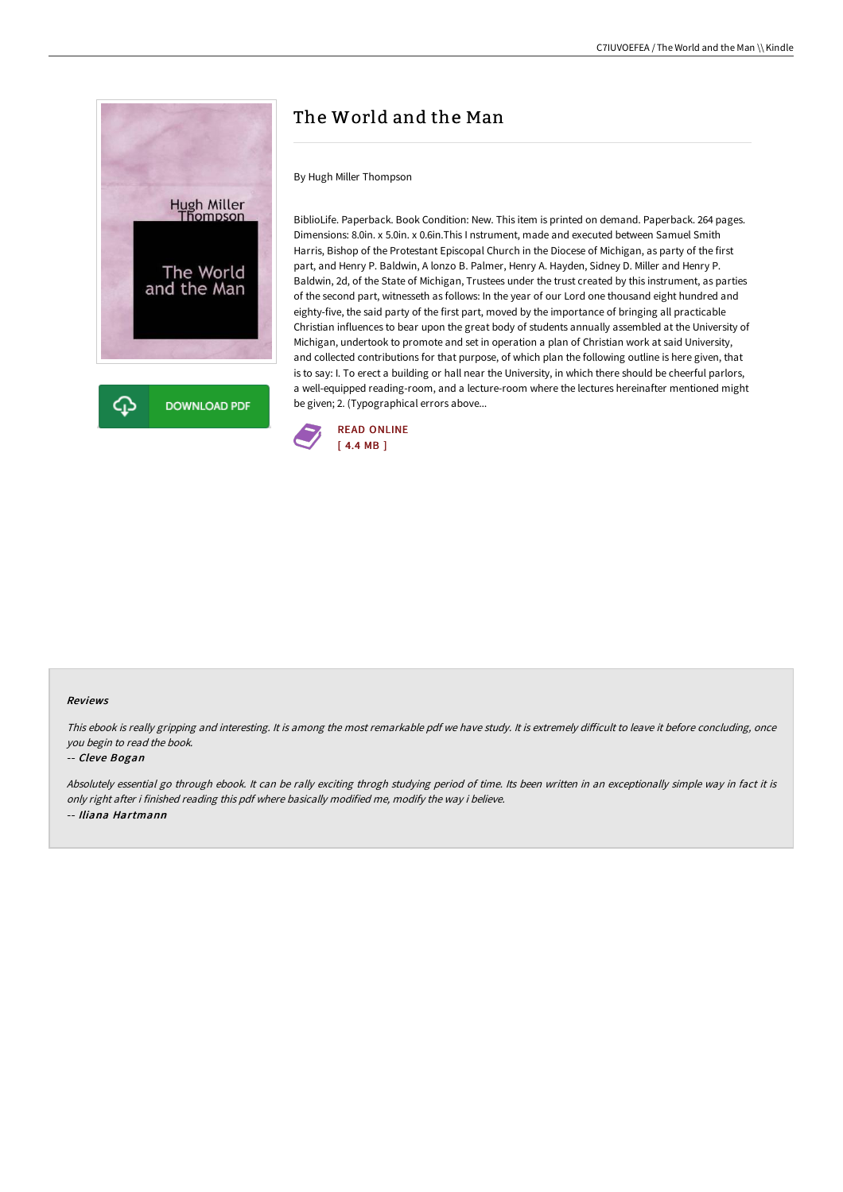

# The World and the Man

By Hugh Miller Thompson

BiblioLife. Paperback. Book Condition: New. This item is printed on demand. Paperback. 264 pages. Dimensions: 8.0in. x 5.0in. x 0.6in.This I nstrument, made and executed between Samuel Smith Harris, Bishop of the Protestant Episcopal Church in the Diocese of Michigan, as party of the first part, and Henry P. Baldwin, A lonzo B. Palmer, Henry A. Hayden, Sidney D. Miller and Henry P. Baldwin, 2d, of the State of Michigan, Trustees under the trust created by this instrument, as parties of the second part, witnesseth as follows: In the year of our Lord one thousand eight hundred and eighty-five, the said party of the first part, moved by the importance of bringing all practicable Christian influences to bear upon the great body of students annually assembled at the University of Michigan, undertook to promote and set in operation a plan of Christian work at said University, and collected contributions for that purpose, of which plan the following outline is here given, that is to say: I. To erect a building or hall near the University, in which there should be cheerful parlors, a well-equipped reading-room, and a lecture-room where the lectures hereinafter mentioned might be given; 2. (Typographical errors above...



#### Reviews

This ebook is really gripping and interesting. It is among the most remarkable pdf we have study. It is extremely difficult to leave it before concluding, once you begin to read the book.

#### -- Cleve Bogan

Absolutely essential go through ebook. It can be rally exciting throgh studying period of time. Its been written in an exceptionally simple way in fact it is only right after i finished reading this pdf where basically modified me, modify the way i believe. -- Iliana Hartmann